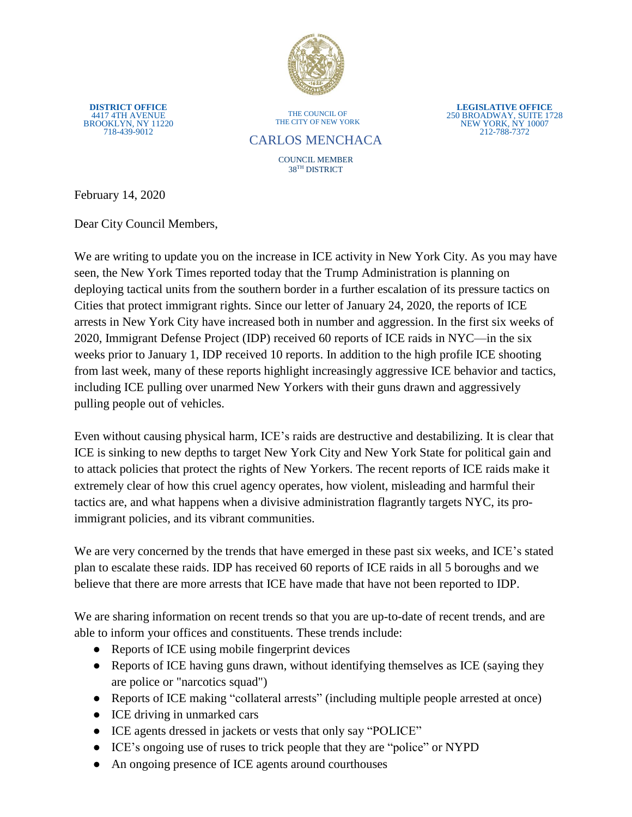

**DISTRICT OFFICE** 4417 4TH AVENUE BROOKLYN, NY 11220 718-439-9012

THE COUNCIL OF THE CITY OF NEW YORK

**LEGISLATIVE OFFICE** 250 BROADWAY, SUITE 1728 NEW YORK, NY 10007 212-788-7372

CARLOS MENCHACA

COUNCIL MEMBER 38TH DISTRICT

February 14, 2020

Dear City Council Members,

We are writing to update you on the increase in ICE activity in New York City. As you may have seen, the New York Times reported today that the Trump Administration is planning on deploying tactical units from the southern border in a further escalation of its pressure tactics on Cities that protect immigrant rights. Since our letter of January 24, 2020, the reports of ICE arrests in New York City have increased both in number and aggression. In the first six weeks of 2020, Immigrant Defense Project (IDP) received 60 reports of ICE raids in NYC—in the six weeks prior to January 1, IDP received 10 reports. In addition to the high profile ICE shooting from last week, many of these reports highlight increasingly aggressive ICE behavior and tactics, including ICE pulling over unarmed New Yorkers with their guns drawn and aggressively pulling people out of vehicles.

Even without causing physical harm, ICE's raids are destructive and destabilizing. It is clear that ICE is sinking to new depths to target New York City and New York State for political gain and to attack policies that protect the rights of New Yorkers. The recent reports of ICE raids make it extremely clear of how this cruel agency operates, how violent, misleading and harmful their tactics are, and what happens when a divisive administration flagrantly targets NYC, its proimmigrant policies, and its vibrant communities.

We are very concerned by the trends that have emerged in these past six weeks, and ICE's stated plan to escalate these raids. IDP has received 60 reports of ICE raids in all 5 boroughs and we believe that there are more arrests that ICE have made that have not been reported to IDP.

We are sharing information on recent trends so that you are up-to-date of recent trends, and are able to inform your offices and constituents. These trends include:

- Reports of ICE using mobile fingerprint devices
- Reports of ICE having guns drawn, without identifying themselves as ICE (saying they are police or "narcotics squad")
- Reports of ICE making "collateral arrests" (including multiple people arrested at once)
- ICE driving in unmarked cars
- ICE agents dressed in jackets or vests that only say "POLICE"
- ICE's ongoing use of ruses to trick people that they are "police" or NYPD
- An ongoing presence of ICE agents around courthouses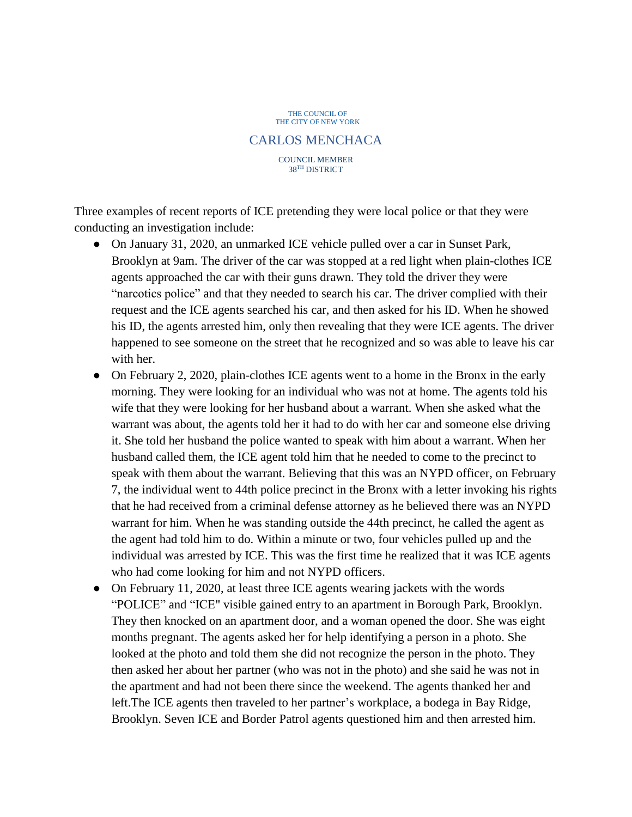## THE COUNCIL OF THE CITY OF NEW YORK

## CARLOS MENCHACA

COUNCIL MEMBER 38TH DISTRICT

Three examples of recent reports of ICE pretending they were local police or that they were conducting an investigation include:

- On January 31, 2020, an unmarked ICE vehicle pulled over a car in Sunset Park, Brooklyn at 9am. The driver of the car was stopped at a red light when plain-clothes ICE agents approached the car with their guns drawn. They told the driver they were "narcotics police" and that they needed to search his car. The driver complied with their request and the ICE agents searched his car, and then asked for his ID. When he showed his ID, the agents arrested him, only then revealing that they were ICE agents. The driver happened to see someone on the street that he recognized and so was able to leave his car with her.
- On February 2, 2020, plain-clothes ICE agents went to a home in the Bronx in the early morning. They were looking for an individual who was not at home. The agents told his wife that they were looking for her husband about a warrant. When she asked what the warrant was about, the agents told her it had to do with her car and someone else driving it. She told her husband the police wanted to speak with him about a warrant. When her husband called them, the ICE agent told him that he needed to come to the precinct to speak with them about the warrant. Believing that this was an NYPD officer, on February 7, the individual went to 44th police precinct in the Bronx with a letter invoking his rights that he had received from a criminal defense attorney as he believed there was an NYPD warrant for him. When he was standing outside the 44th precinct, he called the agent as the agent had told him to do. Within a minute or two, four vehicles pulled up and the individual was arrested by ICE. This was the first time he realized that it was ICE agents who had come looking for him and not NYPD officers.
- On February 11, 2020, at least three ICE agents wearing jackets with the words "POLICE" and "ICE" visible gained entry to an apartment in Borough Park, Brooklyn. They then knocked on an apartment door, and a woman opened the door. She was eight months pregnant. The agents asked her for help identifying a person in a photo. She looked at the photo and told them she did not recognize the person in the photo. They then asked her about her partner (who was not in the photo) and she said he was not in the apartment and had not been there since the weekend. The agents thanked her and left.The ICE agents then traveled to her partner's workplace, a bodega in Bay Ridge, Brooklyn. Seven ICE and Border Patrol agents questioned him and then arrested him.